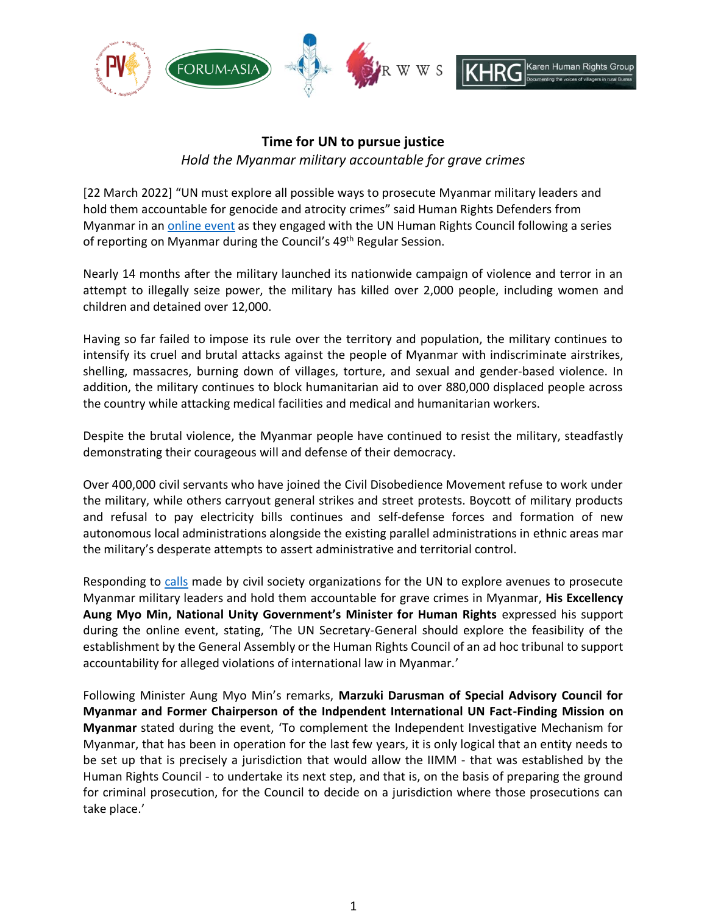

## **Time for UN to pursue justice** *Hold the Myanmar military accountable for grave crimes*

[22 March 2022] "UN must explore all possible ways to prosecute Myanmar military leaders and hold them accountable for genocide and atrocity crimes" said Human Rights Defenders from Myanmar in an [online event](https://www.facebook.com/progressivevoice/videos/2137679243064231) as they engaged with the UN Human Rights Council following a series of reporting on Myanmar during the Council's 49<sup>th</sup> Regular Session.

Nearly 14 months after the military launched its nationwide campaign of violence and terror in an attempt to illegally seize power, the military has killed over 2,000 people, including women and children and detained over 12,000.

Having so far failed to impose its rule over the territory and population, the military continues to intensify its cruel and brutal attacks against the people of Myanmar with indiscriminate airstrikes, shelling, massacres, burning down of villages, torture, and sexual and gender-based violence. In addition, the military continues to block humanitarian aid to over 880,000 displaced people across the country while attacking medical facilities and medical and humanitarian workers.

Despite the brutal violence, the Myanmar people have continued to resist the military, steadfastly demonstrating their courageous will and defense of their democracy.

Over 400,000 civil servants who have joined the Civil Disobedience Movement refuse to work under the military, while others carryout general strikes and street protests. Boycott of military products and refusal to pay electricity bills continues and self-defense forces and formation of new autonomous local administrations alongside the existing parallel administrations in ethnic areas mar the military's desperate attempts to assert administrative and territorial control.

Responding to [calls](https://progressivevoicemyanmar.org/2022/03/07/open-letter-the-un-human-rights-council-must-seek-ways-to-establish-jurisdiction-to-prosecute-grave-crimes-in-myanmar/) made by civil society organizations for the UN to explore avenues to prosecute Myanmar military leaders and hold them accountable for grave crimes in Myanmar, **His Excellency Aung Myo Min, National Unity Government's Minister for Human Rights** expressed his support during the online event, stating, 'The UN Secretary-General should explore the feasibility of the establishment by the General Assembly or the Human Rights Council of an ad hoc tribunal to support accountability for alleged violations of international law in Myanmar.'

Following Minister Aung Myo Min's remarks, **Marzuki Darusman of Special Advisory Council for Myanmar and Former Chairperson of the Indpendent International UN Fact-Finding Mission on Myanmar** stated during the event, 'To complement the Independent Investigative Mechanism for Myanmar, that has been in operation for the last few years, it is only logical that an entity needs to be set up that is precisely a jurisdiction that would allow the IIMM - that was established by the Human Rights Council - to undertake its next step, and that is, on the basis of preparing the ground for criminal prosecution, for the Council to decide on a jurisdiction where those prosecutions can take place.'